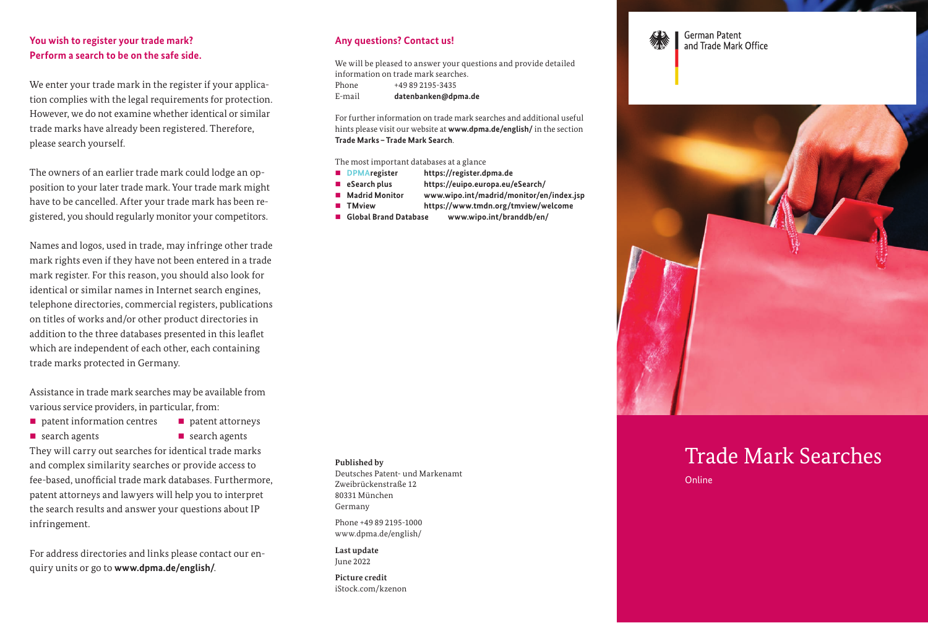### **You wish to register your trade mark? Perform a search to be on the safe side.**

We enter your trade mark in the register if your application complies with the legal requirements for protection. However, we do not examine whether identical or similar trade marks have already been registered. Therefore, please search yourself.

The owners of an earlier trade mark could lodge an opposition to your later trade mark. Your trade mark might have to be cancelled. After your trade mark has been registered, you should regularly monitor your competitors.

Names and logos, used in trade, may infringe other trade mark rights even if they have not been entered in a trade mark register. For this reason, you should also look for identical or similar names in Internet search engines, telephone directories, commercial registers, publications on titles of works and/or other product directories in addition to the three databases presented in this leaflet which are independent of each other, each containing trade marks protected in Germany.

Assistance in trade mark searches may be available from various service providers, in particular, from:

- $\blacksquare$  patent information centres  $\blacksquare$  patent attorneys
- 
- **s** search agents **search** agents

They will carry out searches for identical trade marks and complex similarity searches or provide access to fee-based, unofficial trade mark databases. Furthermore, patent attorneys and lawyers will help you to interpret the search results and answer your questions about IP infringement.

For address directories and links please contact our enquiry units or go to **[www.dpma.de/english/](https://www.dpma.de/english/index.html)**.

#### **Any questions? Contact us!**

We will be pleased to answer your questions and provide detailed information on trade mark searches. Phone +49 89 2195-3435 E-mail **datenbanken@dpma.de**

For further information on trade mark searches and additional useful hints please visit our website at **[www.dpma.de/english/](https://www.dpma.de/english/index.html)** in the section **[Trade Marks–Trade Mark Search](https://www.dpma.de/english/trade_marks/trade_mark_search/index.html)**.

The most important databases at a glance

- **DPMAregister <https://register.dpma.de>**
- **eSearch plus <https://euipo.europa.eu/eSearch/>**
- Madrid Monitor [www.wipo.int/madrid/monitor/en/index.jsp](http://www.wipo.int/madrid/monitor/en/index.jsp)
- **TMview <https://www.tmdn.org/tmview/welcome>**
- **Global Brand Database [www.wipo.int/branddb/en/](http://www.wipo.int/branddb/en/)**

**Published by**

Deutsches Patent- und Markenamt Zweibrückenstraße 12 80331 München Germany

Phone +49 89 2195-1000 [www.dpma.de/english/](https://www.dpma.de/english/ )

**Last update** June 2022

**Picture credit** iStock.com/kzenon





# Trade Mark Searches

Online